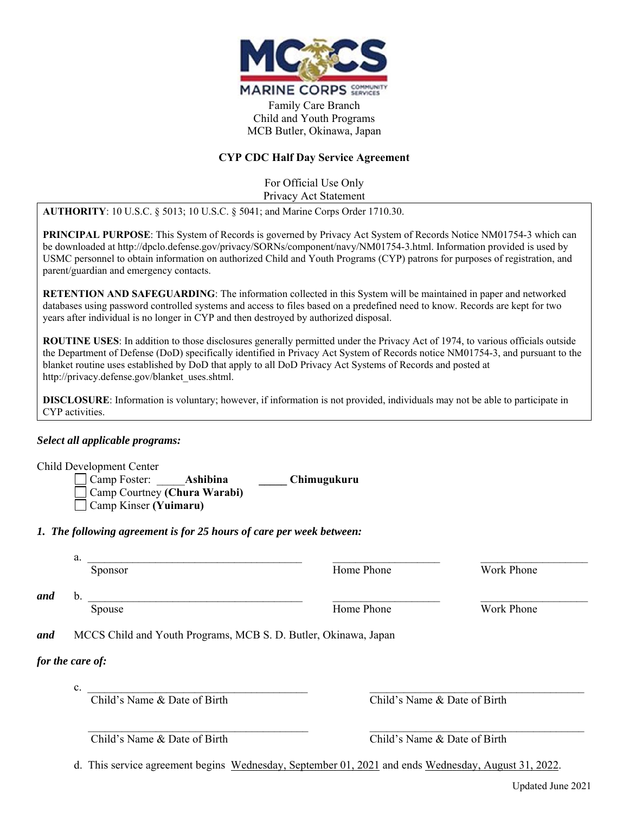

Family Care Branch Child and Youth Programs MCB Butler, Okinawa, Japan

## **CYP CDC Half Day Service Agreement**

For Official Use Only Privacy Act Statement

**AUTHORITY**: 10 U.S.C. § 5013; 10 U.S.C. § 5041; and Marine Corps Order 1710.30.

**PRINCIPAL PURPOSE**: This System of Records is governed by Privacy Act System of Records Notice NM01754-3 which can be downloaded at http://dpclo.defense.gov/privacy/SORNs/component/navy/NM01754-3.html. Information provided is used by USMC personnel to obtain information on authorized Child and Youth Programs (CYP) patrons for purposes of registration, and parent/guardian and emergency contacts.

**RETENTION AND SAFEGUARDING**: The information collected in this System will be maintained in paper and networked databases using password controlled systems and access to files based on a predefined need to know. Records are kept for two years after individual is no longer in CYP and then destroyed by authorized disposal.

**ROUTINE USES**: In addition to those disclosures generally permitted under the Privacy Act of 1974, to various officials outside the Department of Defense (DoD) specifically identified in Privacy Act System of Records notice NM01754-3, and pursuant to the blanket routine uses established by DoD that apply to all DoD Privacy Act Systems of Records and posted at http://privacy.defense.gov/blanket\_uses.shtml.

**DISCLOSURE**: Information is voluntary; however, if information is not provided, individuals may not be able to participate in CYP activities.

## *Select all applicable programs:*

Child Development Center

 Camp Foster: \_\_\_\_\_**Ashibina \_\_\_\_\_ Chimugukuru** Camp Courtney **(Chura Warabi)** Camp Kinser **(Yuimaru)**

*1. The following agreement is for 25 hours of care per week between:* 

| . .              |                    |                 |
|------------------|--------------------|-----------------|
| . <i>. . .</i> . | $ -$<br>rnone<br>. | $- -$<br>.<br>. |

Sponsor **Example 2** Home Phone Work Phone

*and* b. \_\_\_\_\_\_\_\_\_\_\_\_\_\_\_\_\_\_\_\_\_\_\_\_\_\_\_\_\_\_\_\_\_\_\_\_\_\_ \_\_\_\_\_\_\_\_\_\_\_\_\_\_\_\_\_\_\_ \_\_\_\_\_\_\_\_\_\_\_\_\_\_\_\_\_\_\_

Spouse Spouse Home Phone Home Phone Work Phone

*and* MCCS Child and Youth Programs, MCB S. D. Butler, Okinawa, Japan

## *for the care of:*

 $c.$ 

Child's Name & Date of Birth Child's Name & Date of Birth

Child's Name & Date of Birth Child's Name & Date of Birth

d. This service agreement begins Wednesday, September 01, 2021 and ends Wednesday, August 31, 2022.

 $\mathcal{L}_\mathcal{L} = \{ \mathcal{L}_\mathcal{L} = \{ \mathcal{L}_\mathcal{L} = \{ \mathcal{L}_\mathcal{L} = \{ \mathcal{L}_\mathcal{L} = \{ \mathcal{L}_\mathcal{L} = \{ \mathcal{L}_\mathcal{L} = \{ \mathcal{L}_\mathcal{L} = \{ \mathcal{L}_\mathcal{L} = \{ \mathcal{L}_\mathcal{L} = \{ \mathcal{L}_\mathcal{L} = \{ \mathcal{L}_\mathcal{L} = \{ \mathcal{L}_\mathcal{L} = \{ \mathcal{L}_\mathcal{L} = \{ \mathcal{L}_\mathcal{$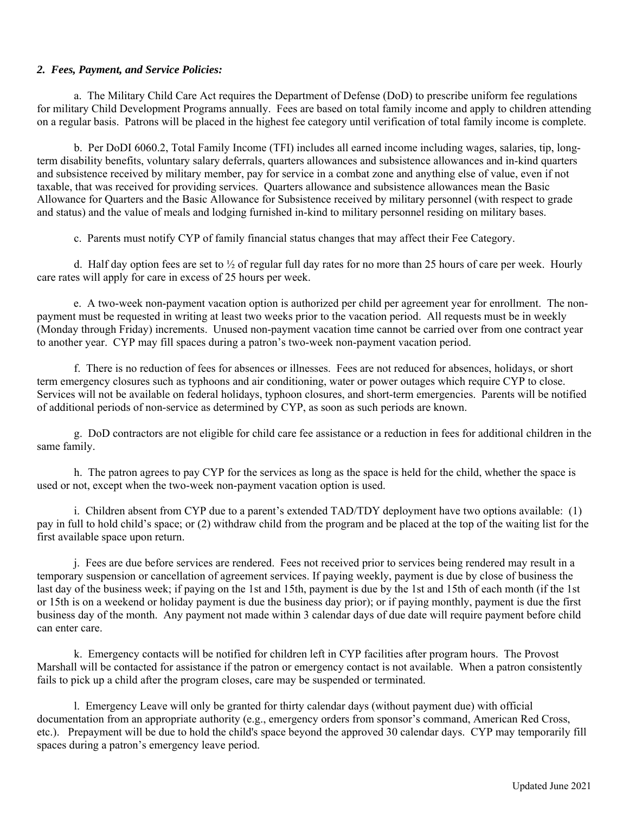#### *2. Fees, Payment, and Service Policies:*

 a. The Military Child Care Act requires the Department of Defense (DoD) to prescribe uniform fee regulations for military Child Development Programs annually. Fees are based on total family income and apply to children attending on a regular basis. Patrons will be placed in the highest fee category until verification of total family income is complete.

 b. Per DoDI 6060.2, Total Family Income (TFI) includes all earned income including wages, salaries, tip, longterm disability benefits, voluntary salary deferrals, quarters allowances and subsistence allowances and in-kind quarters and subsistence received by military member, pay for service in a combat zone and anything else of value, even if not taxable, that was received for providing services. Quarters allowance and subsistence allowances mean the Basic Allowance for Quarters and the Basic Allowance for Subsistence received by military personnel (with respect to grade and status) and the value of meals and lodging furnished in-kind to military personnel residing on military bases.

c. Parents must notify CYP of family financial status changes that may affect their Fee Category.

d. Half day option fees are set to  $\frac{1}{2}$  of regular full day rates for no more than 25 hours of care per week. Hourly care rates will apply for care in excess of 25 hours per week.

 e. A two-week non-payment vacation option is authorized per child per agreement year for enrollment. The nonpayment must be requested in writing at least two weeks prior to the vacation period. All requests must be in weekly (Monday through Friday) increments. Unused non-payment vacation time cannot be carried over from one contract year to another year. CYP may fill spaces during a patron's two-week non-payment vacation period.

f. There is no reduction of fees for absences or illnesses. Fees are not reduced for absences, holidays, or short term emergency closures such as typhoons and air conditioning, water or power outages which require CYP to close. Services will not be available on federal holidays, typhoon closures, and short-term emergencies. Parents will be notified of additional periods of non-service as determined by CYP, as soon as such periods are known.

g. DoD contractors are not eligible for child care fee assistance or a reduction in fees for additional children in the same family.

h. The patron agrees to pay CYP for the services as long as the space is held for the child, whether the space is used or not, except when the two-week non-payment vacation option is used.

i. Children absent from CYP due to a parent's extended TAD/TDY deployment have two options available: (1) pay in full to hold child's space; or (2) withdraw child from the program and be placed at the top of the waiting list for the first available space upon return.

 j. Fees are due before services are rendered. Fees not received prior to services being rendered may result in a temporary suspension or cancellation of agreement services. If paying weekly, payment is due by close of business the last day of the business week; if paying on the 1st and 15th, payment is due by the 1st and 15th of each month (if the 1st or 15th is on a weekend or holiday payment is due the business day prior); or if paying monthly, payment is due the first business day of the month. Any payment not made within 3 calendar days of due date will require payment before child can enter care.

k. Emergency contacts will be notified for children left in CYP facilities after program hours. The Provost Marshall will be contacted for assistance if the patron or emergency contact is not available. When a patron consistently fails to pick up a child after the program closes, care may be suspended or terminated.

l. Emergency Leave will only be granted for thirty calendar days (without payment due) with official documentation from an appropriate authority (e.g., emergency orders from sponsor's command, American Red Cross, etc.). Prepayment will be due to hold the child's space beyond the approved 30 calendar days. CYP may temporarily fill spaces during a patron's emergency leave period.